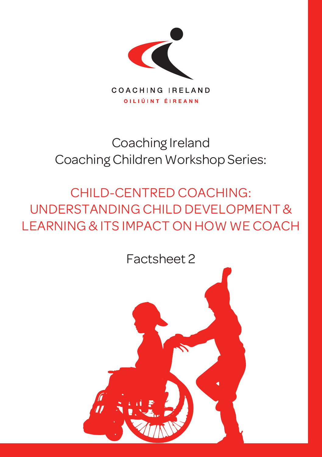

# Coaching Ireland Coaching Children Workshop Series:

CHILD-CENTRED COACHING: UNDERSTANDING CHILD DEVELOPMENT & LEARNING & ITS IMPACT ON HOW WE COACH

Factsheet 2

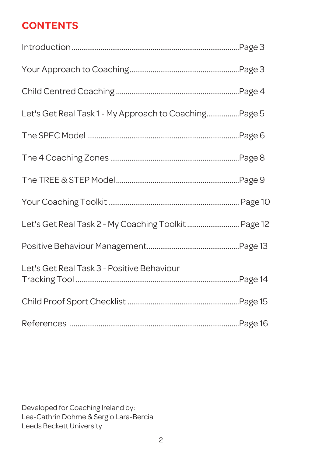## **CONTENTS**

| Let's Get Real Task 1 - My Approach to CoachingPage 5 |  |
|-------------------------------------------------------|--|
|                                                       |  |
|                                                       |  |
|                                                       |  |
|                                                       |  |
| Let's Get Real Task 2 - My Coaching Toolkit  Page 12  |  |
|                                                       |  |
| Let's Get Real Task 3 - Positive Behaviour            |  |
|                                                       |  |
|                                                       |  |

Developed for Coaching Ireland by: Lea-Cathrin Dohme & Sergio Lara-Bercial Leeds Beckett University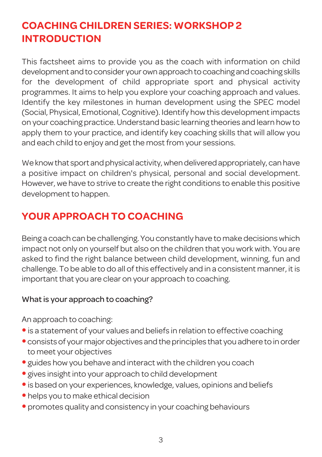## **COACHING CHILDREN SERIES: WORKSHOP 2 INTRODUCTION**

This factsheet aims to provide you as the coach with information on child development and to consider your own approach to coaching and coaching skills for the development of child appropriate sport and physical activity programmes. It aims to help you explore your coaching approach and values. Identify the key milestones in human development using the SPEC model (Social, Physical, Emotional,Cognitive). Identify howthis developmentimpacts on your coaching practice.Understand basic learning theories and learn howto apply them to your practice, and identify key coaching skills that will allow you and each child to enjoy and get the most from your sessions.

We know that sport and physical activity, when delivered appropriately, can have a positive impact on children's physical, personal and social development. However, we have to strive to create the right conditions to enable this positive development to happen.

## **YOUR APPROACH TO COACHING**

Being a coach can be challenging. You constantly have to make decisionswhich impact not only on yourself but also on the children that you work with. You are asked to find the right balance between child development, winning, fun and challenge. To be able to do all of this effectively and in a consistent manner, it is important that you are clear on your approach to coaching.

#### What is your approach to coaching?

An approach to coaching:

- is a statement of your values and beliefs in relation to effective coaching
- consists of your major objectives and the principles that you adhere to in order to meet your objectives
- guides how you behave and interact with the children you coach
- gives insight into your approach to child development
- is based on your experiences, knowledge, values, opinions and beliefs
- helps you to make ethical decision
- promotes quality and consistency in your coaching behaviours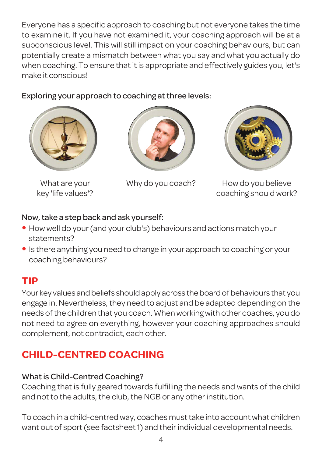Everyone has a specific approach to coaching but not everyone takes the time to examine it. If you have not examined it, your coaching approach will be at a subconscious level. This will still impact on your coaching behaviours, but can potentially create a mismatch between what you say and what you actually do when coaching. To ensure that it is appropriate and effectively guides you, let's make it conscious!

#### Exploring your approach to coaching at three levels:



What are your key 'life values'?





Why do you coach? How do you believe coaching should work?

#### Now,take a step back and ask yourself:

- How well do your (and your club's) behaviours and actions match your statements?
- Is there anything you need to change in your approach to coaching or your coaching behaviours?

## **TIP**

Your key values and beliefs should apply across the board of behaviours that you engage in. Nevertheless, they need to adjust and be adapted depending on the needs of the children that you coach. When working with other coaches, you do not need to agree on everything, however your coaching approaches should complement, not contradict, each other.

## **CHILD-CENTRED COACHING**

#### What is Child-Centred Coaching?

Coaching that is fully geared towards fulfilling the needs and wants of the child and not to the adults, the club, the NGB or any other institution.

To coach in a child-centredway, coaches musttake into accountwhat children want out of sport (see factsheet 1) and their individual developmental needs.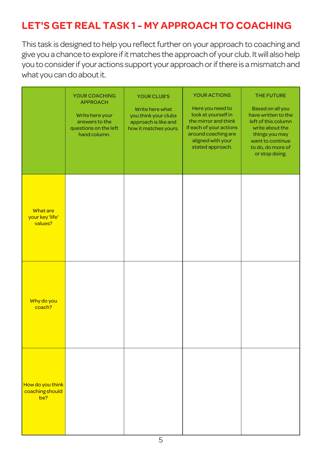## **LET'S GET REAL TASK 1 - MY APPROACH TO COACHING**

This task is designed to help you reflect further on your approach to coaching and give youa chance toexplore ifitmatches the approachof your club. Itwill alsohelp you to consider if your actions support your approach or if there is a mismatch and what you can do about it.

|                                               | YOUR COACHING<br><b>APPROACH</b><br>Write here your<br>answers to the<br>questions on the left<br>hand column. | <b>YOUR CLUB'S</b><br>Write here what<br>you think your clubs<br>approach is like and<br>how it matches yours. | <b>YOUR ACTIONS</b><br>Here you need to<br>look at yourself in<br>the mirror and think<br>if each of your actions<br>around coaching are<br>aligned with your<br>stated approach. | THE FUTURE<br>Based on all you<br>have written to the<br>left of this column<br>write about the<br>things you may<br>want to continue<br>to do, do more of<br>or stop doing. |
|-----------------------------------------------|----------------------------------------------------------------------------------------------------------------|----------------------------------------------------------------------------------------------------------------|-----------------------------------------------------------------------------------------------------------------------------------------------------------------------------------|------------------------------------------------------------------------------------------------------------------------------------------------------------------------------|
| <b>What are</b><br>your key 'life'<br>values? |                                                                                                                |                                                                                                                |                                                                                                                                                                                   |                                                                                                                                                                              |
| Why do you<br>coach?                          |                                                                                                                |                                                                                                                |                                                                                                                                                                                   |                                                                                                                                                                              |
| How do you think<br>coaching should<br>be?    |                                                                                                                |                                                                                                                |                                                                                                                                                                                   |                                                                                                                                                                              |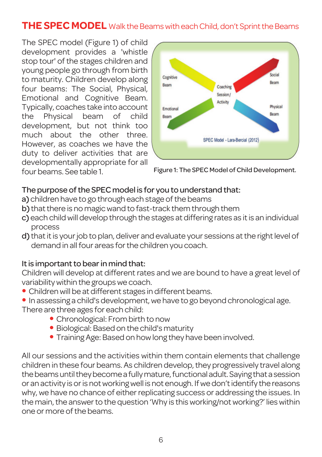### **THE SPEC MODEL** Walk the Beams with each Child, don't Sprint the Beams

The SPEC model (Figure 1) of child development provides a 'whistle stop tour' of the stages children and young people go through from birth to maturity. Children develop along four beams: The Social, Physical, Emotional and Cognitive Beam. Typically, coaches take into account the Physical beam of child development, but not think too much about the other three. However, as coaches we have the duty to deliver activities that are developmentally appropriate for all four beams. See table 1.



Figure 1: The SPEC Model of Child Development.

#### The purpose of the SPEC model is for you to understand that:

- a) children have to go through each stage of the beams
- b) that there is no magic wand to fast-track them through them
- c) each child will develop through the stages at differing rates as it is an individual process
- d) that it is your job to plan, deliver and evaluate your sessions at the right level of demand in all four areas for the children you coach.

#### It is important to bear in mind that:

Children will develop at different rates and we are bound to have a great level of variability within the groups we coach.

- Children will be at different stages in different beams.
- In assessing a child's development,we have to go beyond chronological age. There are three ages for each child:
	- Chronological: From birth to now
	- Biological: Based on the child's maturity
	- Training Age: Based on how long they have been involved.

All our sessions and the activities within them contain elements that challenge children in these four beams. As children develop, they progressively travel along the beams until they become a fully mature, functional adult. Saying that a session or an activity is or is not working well is not enough. If we don't identify the reasons why, we have no chance of either replicating success or addressing the issues. In the main, the answer to the question 'Why is this working/not working?' lies within one or more of the beams.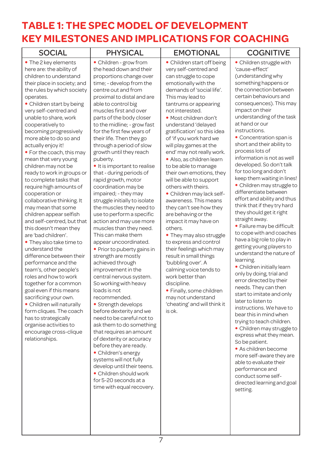## **TABLE 1: THE SPEC MODEL OF DEVELOPMENT KEY MILESTONES AND IMPLICATIONS FOR COACHING**

| <b>SOCIAL</b>                                                                                                                                                                                                                                                                                                                                                                                                                                                                                                                                                                                                                                                                                                                                                                                                                                                                                                                                                                                                                                                           | <b>PHYSICAL</b>                                                                                                                                                                                                                                                                                                                                                                                                                                                                                                                                                                                                                                                                                                                                                                                                                                                                                                                                                                                                                                                                                                                                                                                                                                                                        | <b>EMOTIONAL</b>                                                                                                                                                                                                                                                                                                                                                                                                                                                                                                                                                                                                                                                                                                                                                                                                                                                                                                                            | <b>COGNITIVE</b>                                                                                                                                                                                                                                                                                                                                                                                                                                                                                                                                                                                                                                                                                                                                                                                                                                                                                                                                                                                                                                                                                                                                                                                                                                                                         |
|-------------------------------------------------------------------------------------------------------------------------------------------------------------------------------------------------------------------------------------------------------------------------------------------------------------------------------------------------------------------------------------------------------------------------------------------------------------------------------------------------------------------------------------------------------------------------------------------------------------------------------------------------------------------------------------------------------------------------------------------------------------------------------------------------------------------------------------------------------------------------------------------------------------------------------------------------------------------------------------------------------------------------------------------------------------------------|----------------------------------------------------------------------------------------------------------------------------------------------------------------------------------------------------------------------------------------------------------------------------------------------------------------------------------------------------------------------------------------------------------------------------------------------------------------------------------------------------------------------------------------------------------------------------------------------------------------------------------------------------------------------------------------------------------------------------------------------------------------------------------------------------------------------------------------------------------------------------------------------------------------------------------------------------------------------------------------------------------------------------------------------------------------------------------------------------------------------------------------------------------------------------------------------------------------------------------------------------------------------------------------|---------------------------------------------------------------------------------------------------------------------------------------------------------------------------------------------------------------------------------------------------------------------------------------------------------------------------------------------------------------------------------------------------------------------------------------------------------------------------------------------------------------------------------------------------------------------------------------------------------------------------------------------------------------------------------------------------------------------------------------------------------------------------------------------------------------------------------------------------------------------------------------------------------------------------------------------|------------------------------------------------------------------------------------------------------------------------------------------------------------------------------------------------------------------------------------------------------------------------------------------------------------------------------------------------------------------------------------------------------------------------------------------------------------------------------------------------------------------------------------------------------------------------------------------------------------------------------------------------------------------------------------------------------------------------------------------------------------------------------------------------------------------------------------------------------------------------------------------------------------------------------------------------------------------------------------------------------------------------------------------------------------------------------------------------------------------------------------------------------------------------------------------------------------------------------------------------------------------------------------------|
| • The 2 key elements<br>here are: the ability of<br>children to understand<br>their place in society; and<br>the rules by which society<br>operates.<br>• Children start by being<br>very self-centred and<br>unable to share, work<br>cooperatively to<br>becoming progressively<br>more able to do so and<br>actually enjoy it!<br>• For the coach, this may<br>mean that very young<br>children may not be<br>ready to work in groups or<br>to complete tasks that<br>require high amounts of<br>cooperation or<br>collaborative thinking. It<br>may mean that some<br>children appear selfish<br>and self-centred, but that<br>this doesn't mean they<br>are 'bad children'.<br>• They also take time to<br>understand the<br>difference between their<br>performance and the<br>team's, other people's<br>roles and how to work<br>together for a common<br>goal even if this means<br>sacrificing your own.<br>• Children will naturally<br>form cliques. The coach<br>has to strategically<br>organise activities to<br>encourage cross-clique<br>relationships. | • Children - grow from<br>the head down and their<br>proportions change over<br>time; - develop from the<br>centre out and from<br>proximal to distal and are<br>able to control big<br>muscles first and over<br>parts of the body closer<br>to the midline; - grow fast<br>for the first few years of<br>their life. Then they go<br>through a period of slow<br>growth until they reach<br>puberty.<br>• It is important to realise<br>that - during periods of<br>rapid growth, motor<br>coordination may be<br>impaired; - they may<br>struggle initially to isolate<br>the muscles they need to<br>use to perform a specific<br>action and may use more<br>muscles than they need.<br>This can make them<br>appear uncoordinated.<br>• Prior to puberty gains in<br>strength are mostly<br>achieved through<br>improvement in the<br>central nervous system.<br>So working with heavy<br>loads is not<br>recommended.<br>• Strength develops<br>before dexterity and we<br>need to be careful not to<br>ask them to do something<br>that requires an amount<br>of dexterity or accuracy<br>before they are ready.<br>• Children's energy<br>systems will not fully<br>develop until their teens.<br>• Children should work<br>for 5-20 seconds at a<br>time with equal recovery. | • Children start off being<br>very self-centred and<br>can struggle to cope<br>emotionally with the<br>demands of 'social life'.<br>This may lead to<br>tantrums or appearing<br>not interested.<br>· Most children don't<br>understand 'delayed<br>gratification' so this idea<br>of 'if you work hard we<br>will play games at the<br>end' may not really work.<br>· Also, as children learn<br>to be able to manage<br>their own emotions, they<br>will be able to support<br>others with theirs.<br>· Children may lack self-<br>awareness. This means<br>they can't see how they<br>are behaving or the<br>impact it may have on<br>others.<br>. They may also struggle<br>to express and control<br>their feelings which may<br>result in small things<br>'bubbling over'. A<br>calming voice tends to<br>work better than<br>discipline.<br>· Finally, some children<br>may not understand<br>'cheating' and will think it<br>is ok. | • Children struggle with<br>'cause-effect'<br>(understanding why<br>something happens or<br>the connection between<br>certain behaviours and<br>consequences). This may<br>impact on their<br>understanding of the task<br>at hand or our<br>instructions.<br>• Concentration span is<br>short and their ability to<br>process lots of<br>information is not as well<br>developed. So don't talk<br>for too long and don't<br>keep them waiting in lines!<br>· Children may struggle to<br>differentiate between<br>effort and ability and thus<br>think that if they try hard<br>they should get it right<br>straight away.<br>· Failure may be difficult<br>to cope with and coaches<br>have a big role to play in<br>getting young players to<br>understand the nature of<br>learning.<br>• Children initially learn<br>only by doing, trial and<br>error directed by their<br>needs. They can then<br>start to imitate and only<br>later to listen to<br>instructions. We have to<br>bear this in mind when<br>trying to teach children.<br>· Children may struggle to<br>express what they mean.<br>So be patient.<br>· As children become<br>more self-aware they are<br>able to evaluate their<br>performance and<br>conduct some self-<br>directed learning and goal<br>setting. |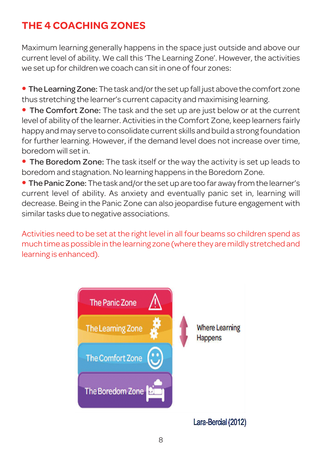## **THE 4 COACHING ZONES**

Maximum learning generally happens in the space just outside and above our current level of ability. We call this 'The Learning Zone'. However, the activities we set up for children we coach can sitin one of four zones:

• The Learning Zone: The task and/or the set up fall just above the comfort zone thus stretching the learner's current capacity and maximising learning.

• The Comfort Zone: The task and the set up are just below or at the current level of ability of the learner. Activities in the Comfort Zone, keep learners fairly happy and may serve to consolidate current skills and build a strong foundation for further learning. However, if the demand level does not increase over time, boredom will setin.

• The Boredom Zone: The task itself or the way the activity is set up leads to boredom and stagnation. No learning happens in the Boredom Zone.

• The Panic Zone: The task and/or the set up are too far away from the learner's current level of ability. As anxiety and eventually panic set in, learning will decrease. Being in the Panic Zone can also jeopardise future engagement with similar tasks due to negative associations.

Activities need to be set at the right level in all four beams so children spend as much time as possible in the learning zone (where they are mildly stretched and learning is enhanced).



Lara-Bercial (2012)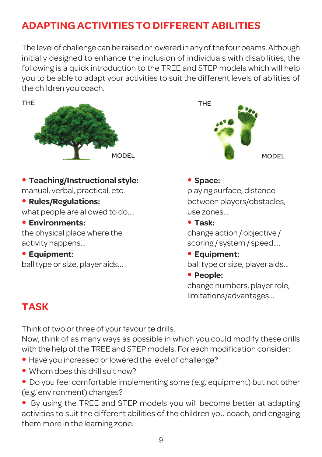## **ADAPTING ACTIVITIES TO DIFFERENT ABILITIES**

The level of challenge can be raised or lowered in any of the four beams. Although initially designed to enhance the inclusion of individuals with disabilities, the following is a quick introduction to the TREE and STEP models which will help you to be able to adapt your activities to suit the different levels of abilities of the children you coach.



• **Teaching/Instructional style:** • **Space:**

manual, verbal, practical, etc. example playing surface, distance

what people are allowed to do.... entitled as a use zones...

• **Environments:** • **Task:**

the physical place where the change action / objective / activity happens... scoring / system / speed....



**• Rules/Regulations:** between players/obstacles,

• **Equipment:** • **Equipment:**

ball type or size, player aids... ball type or size, player aids...

• **People:**

change numbers, player role, limitations/advantages...

## **TASK**

Think of two or three of your favourite drills.

Now, think of as many ways as possible in which you could modify these drills with the help of the TREE and STEP models. For each modification consider:

- Have you increased or lowered the level of challenge?
- Whom does this drill suit now?
- Do you feel comfortable implementing some (e.g. equipment) but not other (e.g. environment) changes?
- By using the TREE and STEP models you will become better at adapting activities to suit the different abilities of the children you coach, and engaging them more in the learning zone.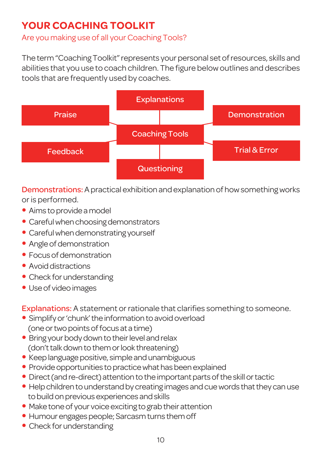## **YOUR COACHING TOOLKIT**

Are you making use of all your Coaching Tools?

The term "Coaching Toolkit" represents your personal set of resources, skills and abilities that you use to coach children. The figure belowoutlines and describes tools that are frequently used by coaches.



Demonstrations: A practical exhibition and explanation of how something works or is performed.

- Aims to provide a model
- Careful when choosing demonstrators
- Careful when demonstrating yourself
- Angle of demonstration
- Focus of demonstration
- Avoid distractions
- Check for understanding
- Useof videoimages

Explanations: A statement or rationale that clarifies something to someone.

- Simplify or 'chunk' the information to avoid overload (one or two points of focus at a time)
- Bring your body down to their level and relax (don't talk down to them or look threatening)
- Keep language positive, simple and unambiguous
- Provide opportunities to practice what has been explained
- Direct (and re-direct) attention to the important parts of the skill or tactic
- Help children to understand by creating images and cue words that they can use to build on previous experiences and skills
- Make tone of your voice exciting to grab their attention
- Humour engages people; Sarcasm turns them off
- Check for understanding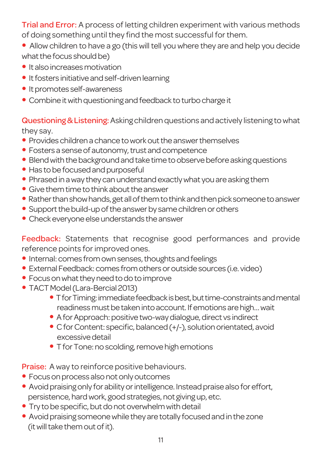Trial and Error: A process of letting children experiment with various methods of doing something until they find the most successful for them.

- Allow children to have a go (this will tell you where they are and help you decide what the focus should be)
- It also increases motivation
- It fosters initiative and self-driven learning
- Itpromotes self-awareness
- Combine it with questioning and feedback to turbo charge it

Questioning & Listening: Asking children questions and actively listening to what they say.

- Provides children a chance to work out the answer themselves
- $\bullet$  Fosters a sense of autonomy, trust and competence
- Blend with the background and take time to observe before asking questions
- Has to be focused and purposeful
- Phrased in a way they can understand exactly what you are asking them
- $\bullet$  Give them time to think about the answer
- Rather than show hands, get all of them to think and then pick someone to answer
- Support the build-up of the answer by same children or others
- Check everyone else understands the answer

Feedback: Statements that recognise good performances and provide reference points for improved ones.

- Internal: comes from own senses, thoughts and feelings
- External Feedback: comes from others or outside sources (i.e. video)
- $\bullet$  Focus on what they need to do to improve
- TACT Model (Lara-Bercial 2013)
	- T for Timing: immediate feedback is best, but time-constraints and mental readiness must be taken into account. If emotions are high... wait
	- A for Approach: positive two-way dialogue, direct vs indirect
	- C for Content: specific, balanced (+/-), solution orientated, avoid excessive detail
	- T for Tone: no scolding, remove high emotions

Praise: A way to reinforce positive behaviours.

- Focus on process also not only outcomes
- Avoid praising only for ability or intelligence. Instead praise also for effort, persistence, hard work, good strategies, not giving up, etc.
- Try to be specific, but do not overwhelm with detail
- Avoid praising someone while they are totally focused and in the zone (it will take them out of it).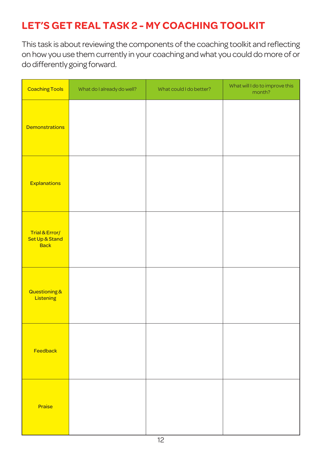## **LET'S GET REAL TASK 2 - MY COACHING TOOLKIT**

This task is about reviewing the components of the coaching toolkit and reflecting on howyou use them currently in your coaching andwhat you could do more of or dodifferently going forward.

| <b>Coaching Tools</b>                           | What do I already do well? | What could I do better? | What will I do to improve this<br>month? |
|-------------------------------------------------|----------------------------|-------------------------|------------------------------------------|
| <b>Demonstrations</b>                           |                            |                         |                                          |
| Explanations                                    |                            |                         |                                          |
| Trial & Error/<br>Set Up & Stand<br><b>Back</b> |                            |                         |                                          |
| Questioning &<br>Listening                      |                            |                         |                                          |
| Feedback                                        |                            |                         |                                          |
| Praise                                          |                            |                         |                                          |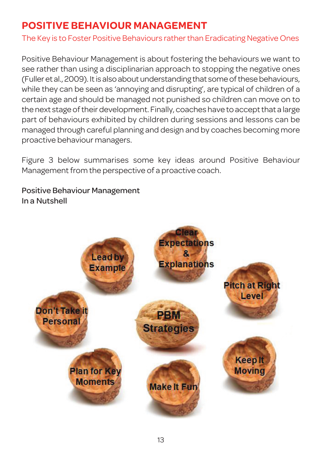## **POSITIVE BEHAVIOUR MANAGEMENT**

The Key is to Foster Positive Behaviours rather than Eradicating Negative Ones

Positive Behaviour Management is about fostering the behaviours we want to see rather than using a disciplinarian approach to stopping the negative ones (Fuller et al., 2009). It is also about understanding that some of these behaviours, while they can be seen as 'annoying and disrupting', are typical of children of a certain age and should be managed not punished so children can move on to the next stage of their development. Finally, coaches have to accept that a large part of behaviours exhibited by children during sessions and lessons can be managed through careful planning and design and by coaches becoming more proactive behaviour managers.

Figure 3 below summarises some key ideas around Positive Behaviour Management from the perspective of a proactive coach.

Positive Behaviour Management In a Nutshell

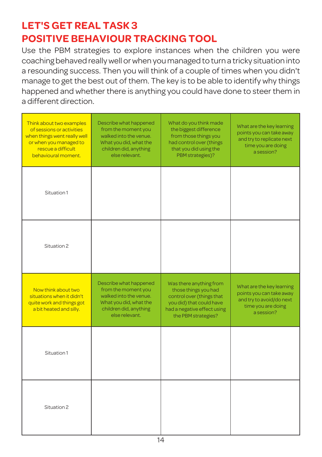## **LET'S GET REAL TASK 3 POSITIVE BEHAVIOUR TRACKING TOOL**

Use the PBM strategies to explore instances when the children you were coaching behaved reallywell orwhen you managed to turn a tricky situation into a resounding success. Then you will think of a couple of times when you didn't manage to get the best out of them. The key is to be able to identify why things happened and whether there is anything you could have done to steer them in a different direction.

| Think about two examples<br>of sessions or activities<br>when things went really well<br>or when you managed to<br>rescue a difficult<br>behavioural moment. | Describe what happened<br>from the moment you<br>walked into the venue.<br>What you did, what the<br>children did, anything<br>else relevant. | What do you think made<br>the biggest difference<br>from those things you<br>had control over (things<br>that you did using the<br>PBM strategies)?            | What are the key learning<br>points you can take away<br>and try to replicate next<br>time you are doing<br>a session? |
|--------------------------------------------------------------------------------------------------------------------------------------------------------------|-----------------------------------------------------------------------------------------------------------------------------------------------|----------------------------------------------------------------------------------------------------------------------------------------------------------------|------------------------------------------------------------------------------------------------------------------------|
| Situation 1                                                                                                                                                  |                                                                                                                                               |                                                                                                                                                                |                                                                                                                        |
| Situation 2                                                                                                                                                  |                                                                                                                                               |                                                                                                                                                                |                                                                                                                        |
| Now think about two<br>situations when it didn't<br>quite work and things got<br>a bit heated and silly.                                                     | Describe what happened<br>from the moment you<br>walked into the venue.<br>What you did, what the<br>children did, anything<br>else relevant. | Was there anything from<br>those things you had<br>control over (things that<br>you did) that could have<br>had a negative effect using<br>the PBM strategies? | What are the key learning<br>points you can take away<br>and try to avoid/do next<br>time you are doing<br>a session?  |
| Situation 1                                                                                                                                                  |                                                                                                                                               |                                                                                                                                                                |                                                                                                                        |
| Situation 2                                                                                                                                                  |                                                                                                                                               |                                                                                                                                                                |                                                                                                                        |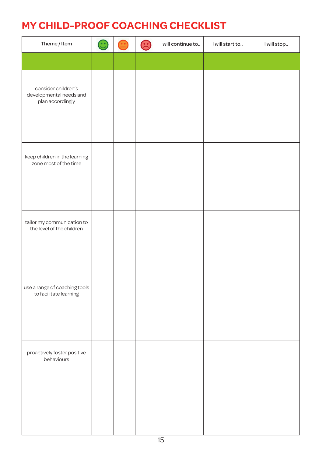## **MY CHILD-PROOF COACHING CHECKLIST**

| Theme / Item                                                       | $\mathbf{\large \textcolor{black}{\textcolor{black}{\mathbf{\large c}}}}$ | G | I will continue to | I will start to | I will stop |
|--------------------------------------------------------------------|---------------------------------------------------------------------------|---|--------------------|-----------------|-------------|
|                                                                    |                                                                           |   |                    |                 |             |
| consider children's<br>developmental needs and<br>plan accordingly |                                                                           |   |                    |                 |             |
| keep children in the learning<br>zone most of the time             |                                                                           |   |                    |                 |             |
| tailor my communication to<br>the level of the children            |                                                                           |   |                    |                 |             |
| use a range of coaching tools<br>to facilitate learning            |                                                                           |   |                    |                 |             |
| proactively foster positive<br>behaviours                          |                                                                           |   |                    |                 |             |